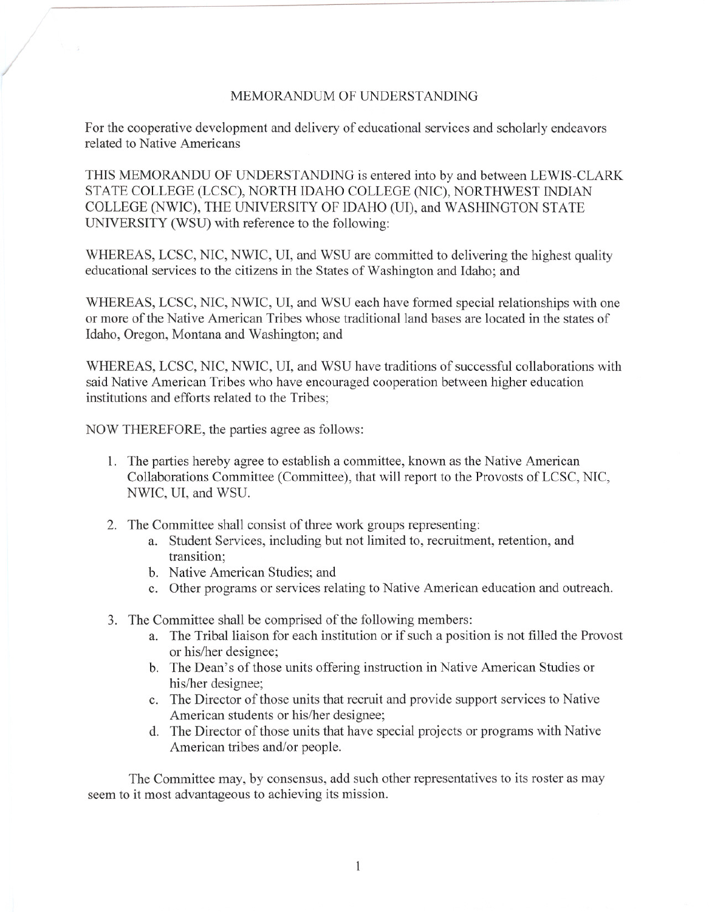## MEMORANDUM OF UNDERSTANDING

For the cooperative development and delivery of educational services and scholarly endeavors related to Native Americans

THIS MEMORANDU OF UNDERSTANDING is entered into by and between LEWIS-CLARK STATE COLLEGE (LCSC), NORTH IDAHO COLLEGE (NIC), NORTHWEST INDIAN COLLEGE (NWIC), THE UNIVERSITY OF IDAHO (UI), and WASHINGTON STATE UNIVERSITY (WSU) with reference to the following:

WHEREAS, LCSC, NIC, NWIC, UI, and WSU are committed to delivering the highest quality educational services to the citizens in the States of Washington and Idaho; and

WHEREAS, LCSC, NIC, NWIC, UI, and WSU each have formed special relationships with one or more of the Native American Tribes whose traditional land bases are located in the states of Idaho, Oregon, Montana and Washington; and

WHEREAS, LCSC, NIC, NWIC, UI, and WSU have traditions of successful collaborations with said Native American Tribes who have encouraged cooperation between higher education institutions and efforts related to the Tribes;

NOW THEREFORE, the parties agree as follows:

- 1. The parties hereby agree to establish a committee, known as the Native American Collaborations Committee (Committee), that will report to the Provosts of LCSC, NIC, NWIC, UI, and WSu.
- 2. The Committee shall consist of three work groups representing:
	- a. Student Services, including but not limited to, recruitment, retention, and transition;
	- b. Native American Studies; and
	- c. Other programs or services relating to Native American education and outreach.
- 3. The Committee shall be comprised of the following members:
	- a. The Tribal liaison for each institution or if such a position is not filled the Provost or his/her designee;
	- b. The Dean's of those units offering instruction in Native American Studies or his/her designee;
	- c. The Director of those units that recruit and provide support services to Native American students or his/her designee;
	- d. The Director of those units that have special projects or programs with Native American tribes and/or people.

The Committee may, by consensus, add such other representatives to its roster as may seem to it most advantageous to achieving its mission.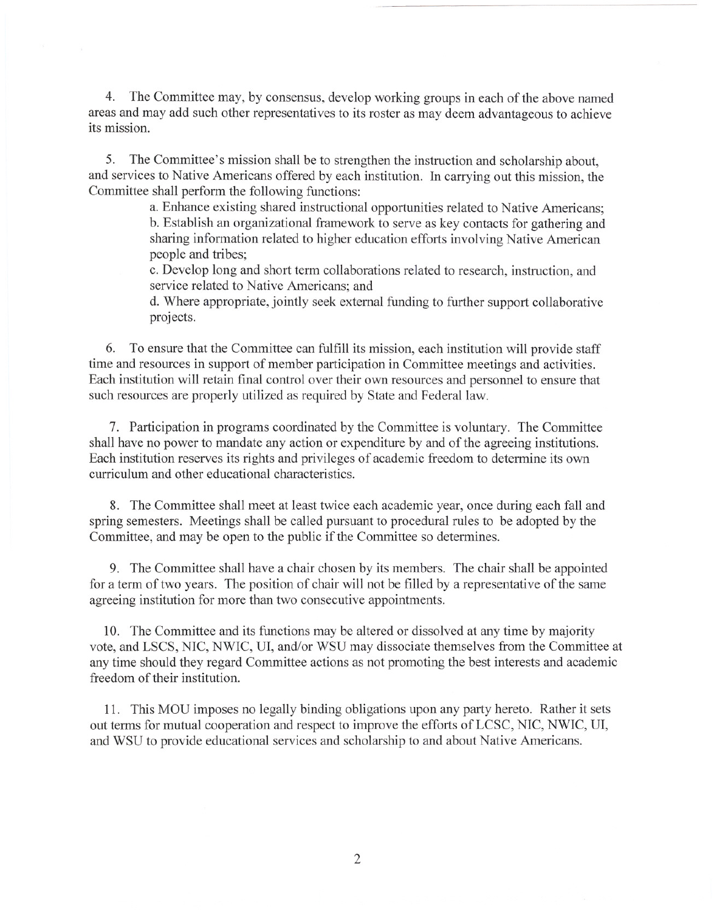4. The Committee may, by consensus, develop working groups in each of the above named areas and may add such other representatives to its roster as may deem advantageous to achieve its mission.

5. The Committee's mission shall be to strengthen the instruction and scholarship about, and services to Native Americans offered by each institution. In carrying out this mission, the Committee shall perform the following functions:

a. Enhance existing shared instructional opportunities related to Native Americans; b. Establish an organizational framework to serve as key contacts for gathering and sharing information related to higher education efforts involving Native American people and tribes;

c. Develop long and short term collaborations related to research, instruction, and service related to Native Americans; and

d. Where appropriate, jointly seek external funding to further support collaborative projects.

6. To ensure that the Committee can fulfill its mission, each institution will provide staff time and resources in support of member participation in Committee meetings and activities. Each institution will retain final control over their own resources and personnel to ensure that such resources are properly utilized as required by State and Federal law.

7. Participation in programs coordinated by the Committee is voluntary. The Committee shall have no power to mandate any action or expenditure by and of the agreeing institutions. Each institution reserves its rights and privileges of academic freedom to determine its own curriculum and other educational characteristics.

8. The Committee shall meet at least twice each academic year, once during each fall and spring semesters. Meetings shall be called pursuant to procedural rules to be adopted by the Committee, and may be open to the public if the Committee so determines.

9. The Committee shall have a chair chosen by its members. The chair shall be appointed for a term of two years. The position of chair will not be filled by a representative of the same agreeing institution for more than two consecutive appointments.

10. The Committee and its functions may be altered or dissolved at any time by majority vote, and LSCS, NIC, NWIC, UI, and/or WSU may dissociate themselves from the Committee at any time should they regard Committee actions as not promoting the best interests and academic freedom of their institution.

11. This MOU imposes no legally binding obligations upon any party hereto. Rather it sets out terms for mutual cooperation and respect to improve the efforts of LCSC, NIC, NWIC, UI, and WSU to provide educational services and scholarship to and about Native Americans.